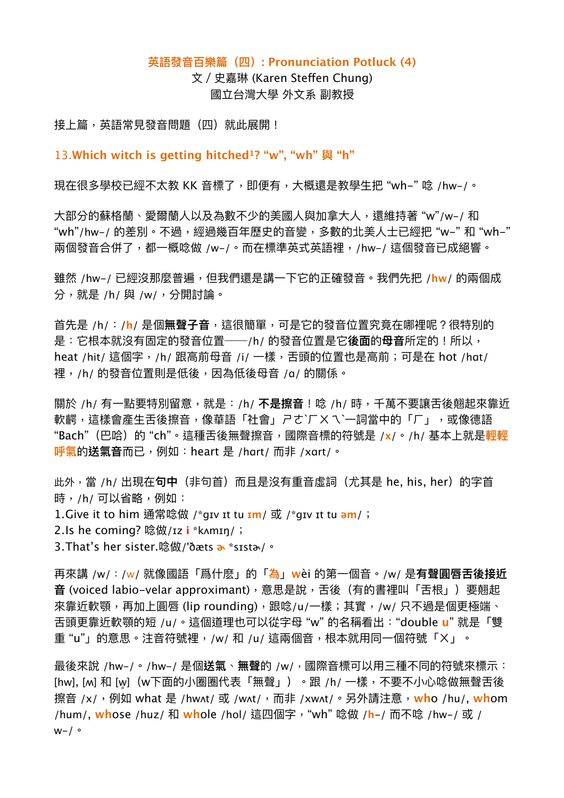## **英語發⾳百樂篇(四): Pronunciation Potluck (4)**

<span id="page-0-0"></span>⽂/史嘉琳 (Karen Stefen Chung) 國立台灣⼤學 外⽂系 副教授

接上篇,英語常見發音問題(四)就此展開!

13.**Which witch is getting hitched ? "w", "wh" 與 "h" [1](#page-4-0)**

現在很多學校已經不太教 KK 音標了,即便有,大概還是教學生把"wh–" 唸 /hw–/。

大部分的蘇格蘭、愛爾蘭人以及為數不少的美國人與加拿大人,還維持著 "w"/w-/ 和 "wh"/hw-/ 的差別。不過,經過幾百年歷史的音變,多數的北美人士已經把 "w-" 和 "wh-" 兩個發音合併了,都一概唸做 /w-/。而在標準英式英語裡,/hw-/ 這個發音已成絕響。

雖然 /hw-/ 已經沒那麼普遍,但我們還是講一下它的正確發音。我們先把 /hw/ 的兩個成 分,就是 /h/ 與 /w/,分開討論。

首先是 /h/:/**h**/ 是個**無聲子音**,這很簡單,可是它的發音位置究竟在哪裡呢?很特別的 是:它根本就沒有固定的發音位置──/h/ 的發音位置是它**後面**的**母音**所定的!所以, heat /hit/ 這個字, /h/ 跟高前母音 /i/ 一樣, 舌頭的位置也是高前; 可是在 hot /hɑt/ 裡,/h/ 的發音位置則是低後,因為低後母音 /a/ 的關係。

關於 /h/ 有⼀點要特別留意,就是:/h/ **不是擦⾳**!唸 /h/ 時,千萬不要讓舌後翹起來靠近 軟齶,這樣會產生舌後擦音,像華語「社會」ㄕㄜˋ厂ㄨㄟˋ一詞當中的「厂」,或像德語 "Bach"(巴哈)的 "ch"。這種舌後無聲擦⾳,國際⾳標的符號是 /**x**/。/h/ 基本上就是**輕輕 呼氣的送氣音而已,例如:heart 是 /hɑrt/ 而非 /xɑrt/。** 

此外,當 /h/ 出現在**句中**(非句首)而且是沒有重音虛詞(尤其是 he, his, her)的字首 時,/h/ 可以省略,例如: 1.Give it to him 通常唸做 /\*gɪv ɪt tu **ɪm**/ 或 /\*gɪv ɪt tu **əm**/; 2.Is he coming? 唸做/ɪz **i** \*kʌmɪŋ/;

3.That's her sister.唸做/'ðæts **ɚ** \*sɪstɚ/。

再來講 /w/:/w/ 就像國語「爲什麽」的「**為**」**w**èi 的第⼀個⾳。/w/ 是**有聲圓唇舌後接近** 音(voiced labio-velar approximant), 意思是說, 舌後(有的書裡叫「舌根」)要翹起 來靠近軟顎,再加上圓唇 (lip rounding),跟唸/u/一樣;其實,/w/ 只不過是個更極端、 舌頭更靠近軟顎的短 /u/。這個道理也可以從字⺟ "w" 的名稱看出:"double **u**" 就是「雙 重"u"」的意思。注音符號裡,/w/ 和 /u/ 這兩個音,根本就用同一個符號「ㄨ」。

最後來說 /hw-/。/hw-/ 是個**送氣、無聲**的 /w/,國際音標可以用三種不同的符號來標示: [hw], [м] 和 [w](w下面的小圈圈代表「無聲」)。跟 /h/ 一樣,不要不小心唸做無聲舌後 擦⾳ /x/,例如 what 是 /hwʌt/ 或 /wʌt/,⽽非 /xwʌt/。另外請注意,**wh**o /hu/, **wh**om /hum/, **wh**ose /huz/ 和 **wh**ole /hol/ 這四個字,"wh" 唸做 /**h**-/ ⽽不唸 /hw-/ 或 /  $W-/-$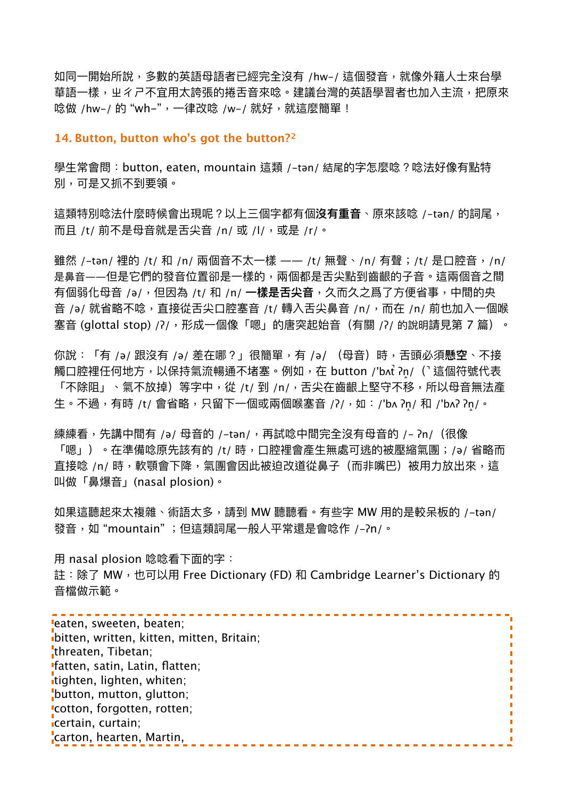如同一開始所說,多數的英語母語者已經完全沒有 /hw-/ 這個發音,就像外籍人士來台學 華語一樣,屮彳ㄕ不宜用太誇張的捲舌音來唸。建議台灣的英語學習者也加入主流,把原來 唸做 /hw-/ 的 "wh-",一律改唸 /w-/ 就好,就這麼簡單!

## <span id="page-1-0"></span>**14. Button, button who's got the button?[2](#page-4-1)**

學⽣常會問:button, eaten, mountain 這類 /-tən/ 結尾的字怎麼唸?唸法好像有點特 別,可是⼜抓不到要領。

這類特別唸法什麼時候會出現呢?以上三個字都有個**沒有重⾳**、原來該唸 /-tən/ 的詞尾, 而且 /t/ 前不是母音就是舌尖音 /n/ 或 /l/, 或是 /r/。

雖然 /-tən/ 裡的 /t/ 和 /n/ 兩個音不太一樣 —— /t/ 無聲、/n/ 有聲;/t/ 是口腔音,/n/ 是鼻音——但是它們的發音位置卻是一樣的,兩個都是舌尖點到齒齦的子音。這兩個音之間 有個弱化母音 /ə/,但因為 /t/ 和 /n/ **一樣是舌尖音**,久而久之爲了方便省事,中間的央 音 /ə/ 就省略不唸,直接從舌尖口腔塞音 /t/ 轉入舌尖鼻音 /n/,而在 /n/ 前也加入一個喉 塞音 (glottal stop) /ʔ/, 形成一個像「嗯」的唐突起始音 (有關 /ʔ/ 的說明請見第 7 篇) 。

你說:「有 /ə/ 跟沒有 /ə/ 差在哪?」很簡單,有 /ə/ (母音)時,舌頭必須懸空、不接 觸⼝腔裡任何地⽅,以保持氣流暢通不堵塞。例如,在 button /'bʌt̚ ʔn̝/( ̚這個符號代表 「不除阻」、氣不放掉)等字中,從 /t/ 到 /n/,舌尖在齒齦上堅守不移,所以母音無法產 生。不過,有時 /t/ 會省略,只留下一個或兩個喉塞音 /ʔ/,如:/'bʌ ʔn/ 和 /'bʌʔ ʔn/。

練練看,先講中間有 /ə/ 母音的 /-tən/,再試唸中間完全沒有母音的 /- ?n/(很像 「嗯」)。在準備唸原先該有的 /t/ 時,口腔裡會產生無處可逃的被壓縮氣團;/ə/ 省略而 直接唸 /n/ 時,軟顎會下降,氣團會因此被迫改道從鼻子(而非嘴巴)被用力放出來,這 叫做「⿐爆⾳」(nasal plosion)。

如果這聽起來太複雜、術語太多,請到 MW 聽聽看。有些字 MW 用的是較呆板的 /-tən/ 發音,如 "mountain" ;但這類詞尾一般人平常還是會唸作 /-?n/。

⽤ nasal plosion 唸唸看下⾯的字:

註:除了 MW,也可以用 Free Dictionary (FD) 和 Cambridge Learner's Dictionary 的 音檔做示範。

| leaten, sweeten, beaten;                  |  |
|-------------------------------------------|--|
| bitten, written, kitten, mitten, Britain; |  |
| threaten, Tibetan;                        |  |
| "fatten, satin, Latin, flatten;           |  |
| itighten, lighten, whiten;                |  |
| button, mutton, glutton;                  |  |
| 'cotton, forgotten, rotten;               |  |
| icertain, curtain;                        |  |
| carton, hearten, Martin,                  |  |
|                                           |  |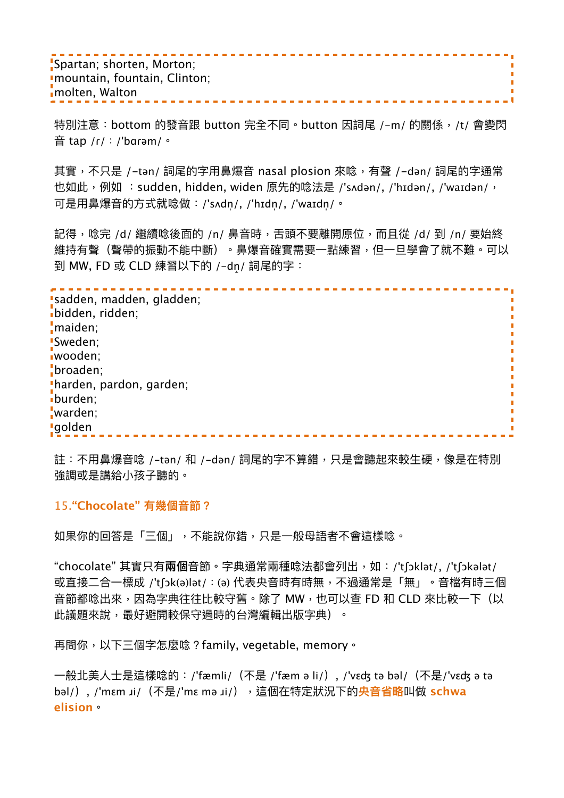Spartan; shorten, Morton; mountain, fountain, Clinton; molten, Walton

特別注意:bottom 的發音跟 button 完全不同。button 因詞尾 /-m/ 的關係,/t/ 會變閃 ⾳ tap /ɾ/:/'bɑɾəm/。

n

其實,不只是 /-tən/ 詞尾的字用鼻爆音 nasal plosion 來唸,有聲 /-dən/ 詞尾的字通常 也如此,例如 :sudden, hidden, widen 原先的唸法是 /'sʌdən/, /'hɪdən/, /'waɪdən/, 可是用鼻爆音的方式就唸做:/'sʌdn/,/'hɪdn/,/'waɪdn/。

記得,唸完 /d/ 繼續唸後面的 /n/ 鼻音時,舌頭不要離開原位,而且從 /d/ 到 /n/ 要始終 維持有聲(聲帶的振動不能中斷)。鼻爆音確實需要一點練習,但—旦學會了就不難。可以 到 MW, FD 或 CLD 練習以下的 /-dn/ 詞尾的字:

. . . . . . . . . . . . . . . . . . . . sadden, madden, gladden; bidden, ridden; maiden; Sweden; wooden; broaden; harden, pardon, garden; burden; warden; golden

註:不用鼻爆音唸 /-tən/ 和 /-dən/ 詞尾的字不算錯,只是會聽起來較生硬,像是在特別 強調或是講給⼩孩⼦聽的。

## 15.**"Chocolate" 有幾個⾳節?**

如果你的回答是「三個」,不能說你錯,只是一般母語者不會這樣唸。

"chocolate" 其實只有**兩個**⾳節。字典通常兩種唸法都會列出,如:/'tʃɔklət/, /'tʃɔkələt/ 或直接二合一標成 /'tʃɔk(ə)lət/:(ə) 代表央音時有時無,不過通常是「無」。音檔有時三個 音節都唸出來,因為字典往往比較守舊。除了 MW,也可以杳 FD 和 CLD 來比較一下(以 此議題來說,最好避開較保守過時的台灣編輯出版字典)。

再問你,以下三個字怎麼唸?family, vegetable, memory。

一般北美人士是這樣唸的:/'fæmli/(不是 /'fæm ə li/), /'vɛʤ tə bəl/(不是/'νεʤ ə tə bəl/), /'mεm *x*i/(不是/'mε mə *x*i/),這個在特定狀況下的<mark>央音省略</mark>叫做 schwa **elision**。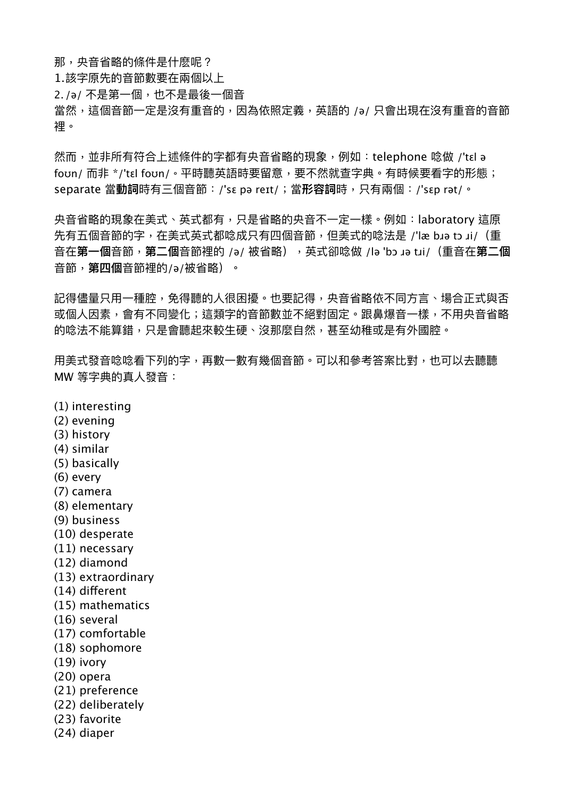那,央音省略的條件是什麽呢?

1. 該字原先的音節數要在兩個以上

2. /ə/ 不是第一個,也不是最後一個音

當然,這個音節一定是沒有重音的,因為依照定義,英語的 /ə/ 只會出現在沒有重音的音節 裡。

然而,並非所有符合上述條件的字都有央音省略的現象,例如:telephone 唸做 /'tɛl ə foʊn/ 而非 \*/'tɛl foʊn/。平時聽英語時要留意,要不然就杳字典。有時候要看字的形態; separate 當**動詞**時有三個⾳節:/'sɛ pə reɪt/;當**形容詞**時,只有兩個:/'sɛp rət/。

央音省略的現象在美式、英式都有,只是省略的央音不一定一樣。例如:laboratory 這原 先有五個音節的字,在美式英式都唸成只有四個音節,但美式的唸法是 /'læ bɹə tɔ ɹi/ (重 音在**第一個**音節,**第二個**音節裡的 /ə/ 被省略),英式卻唸做 /lə 'bɔ ɹə tɹi/(重音在**第二個** 音節, **第四個**音節裡的/a/被省略) 。

記得儘量只用一種腔,免得聽的人很困擾。也要記得,央音省略依不同方言、場合正式與否 或個人因素,會有不同變化;這類字的音節數並不絕對固定。跟鼻爆音一樣,不用央音省略 的唸法不能算錯,只是會聽起來較生硬、沒那麼自然,甚至幼稚或是有外國腔。

用美式發音唸唸看下列的字,再數一數有幾個音節。可以和參考答案比對,也可以去聽聽 MW 等字典的真人發音:

- (1) interesting
- (2) evening
- (3) history
- (4) similar
- (5) basically
- (6) every
- (7) camera
- (8) elementary
- (9) business
- (10) desperate
- (11) necessary
- (12) diamond
- (13) extraordinary
- (14) diferent
- (15) mathematics
- (16) several
- (17) comfortable
- (18) sophomore
- (19) ivory
- (20) opera
- (21) preference
- (22) deliberately
- (23) favorite
- (24) diaper